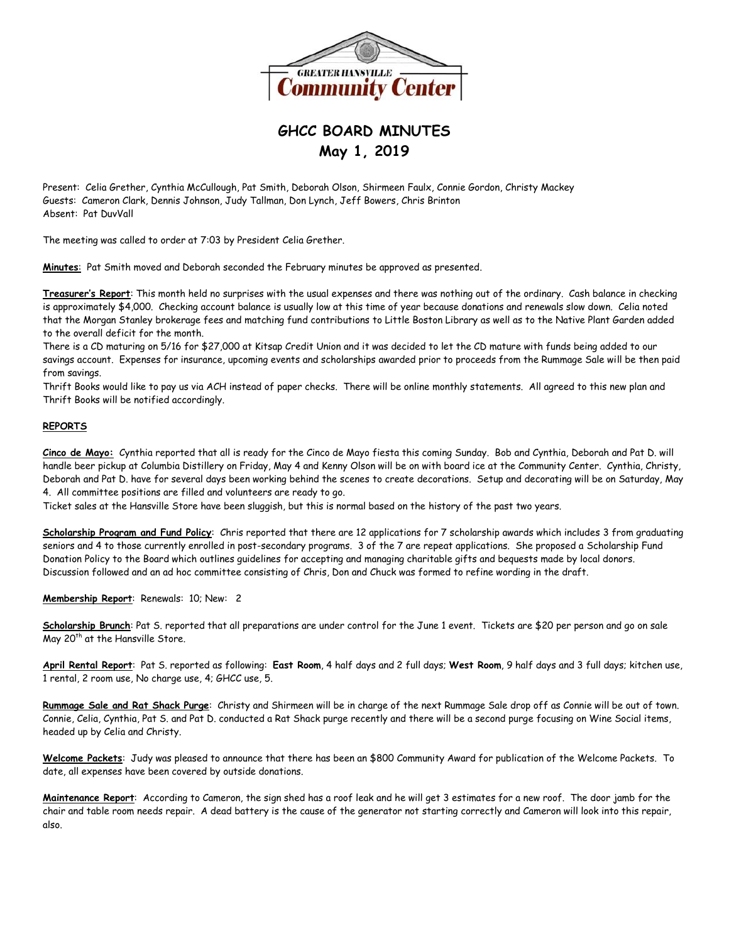

## **GHCC BOARD MINUTES May 1, 2019**

Present: Celia Grether, Cynthia McCullough, Pat Smith, Deborah Olson, Shirmeen Faulx, Connie Gordon, Christy Mackey Guests: Cameron Clark, Dennis Johnson, Judy Tallman, Don Lynch, Jeff Bowers, Chris Brinton Absent: Pat DuvVall

The meeting was called to order at 7:03 by President Celia Grether.

**Minutes**: Pat Smith moved and Deborah seconded the February minutes be approved as presented.

**Treasurer's Report**: This month held no surprises with the usual expenses and there was nothing out of the ordinary. Cash balance in checking is approximately \$4,000. Checking account balance is usually low at this time of year because donations and renewals slow down. Celia noted that the Morgan Stanley brokerage fees and matching fund contributions to Little Boston Library as well as to the Native Plant Garden added to the overall deficit for the month.

There is a CD maturing on 5/16 for \$27,000 at Kitsap Credit Union and it was decided to let the CD mature with funds being added to our savings account. Expenses for insurance, upcoming events and scholarships awarded prior to proceeds from the Rummage Sale will be then paid from savings.

Thrift Books would like to pay us via ACH instead of paper checks. There will be online monthly statements. All agreed to this new plan and Thrift Books will be notified accordingly.

## **REPORTS**

**Cinco de Mayo:** Cynthia reported that all is ready for the Cinco de Mayo fiesta this coming Sunday. Bob and Cynthia, Deborah and Pat D. will handle beer pickup at Columbia Distillery on Friday, May 4 and Kenny Olson will be on with board ice at the Community Center. Cynthia, Christy, Deborah and Pat D. have for several days been working behind the scenes to create decorations. Setup and decorating will be on Saturday, May 4. All committee positions are filled and volunteers are ready to go.

Ticket sales at the Hansville Store have been sluggish, but this is normal based on the history of the past two years.

**Scholarship Program and Fund Policy**: Chris reported that there are 12 applications for 7 scholarship awards which includes 3 from graduating seniors and 4 to those currently enrolled in post-secondary programs. 3 of the 7 are repeat applications. She proposed a Scholarship Fund Donation Policy to the Board which outlines guidelines for accepting and managing charitable gifts and bequests made by local donors. Discussion followed and an ad hoc committee consisting of Chris, Don and Chuck was formed to refine wording in the draft.

**Membership Report**: Renewals: 10; New: 2

**Scholarship Brunch**: Pat S. reported that all preparations are under control for the June 1 event. Tickets are \$20 per person and go on sale May 20<sup>th</sup> at the Hansville Store.

**April Rental Report**: Pat S. reported as following: **East Room**, 4 half days and 2 full days; **West Room**, 9 half days and 3 full days; kitchen use, 1 rental, 2 room use, No charge use, 4; GHCC use, 5.

**Rummage Sale and Rat Shack Purge**: Christy and Shirmeen will be in charge of the next Rummage Sale drop off as Connie will be out of town. Connie, Celia, Cynthia, Pat S. and Pat D. conducted a Rat Shack purge recently and there will be a second purge focusing on Wine Social items, headed up by Celia and Christy.

**Welcome Packets**: Judy was pleased to announce that there has been an \$800 Community Award for publication of the Welcome Packets. To date, all expenses have been covered by outside donations.

**Maintenance Report**: According to Cameron, the sign shed has a roof leak and he will get 3 estimates for a new roof. The door jamb for the chair and table room needs repair. A dead battery is the cause of the generator not starting correctly and Cameron will look into this repair, also.